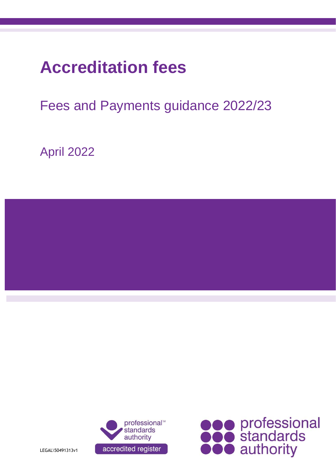# **Accreditation fees**

# Fees and Payments guidance 2022/23

April 2022





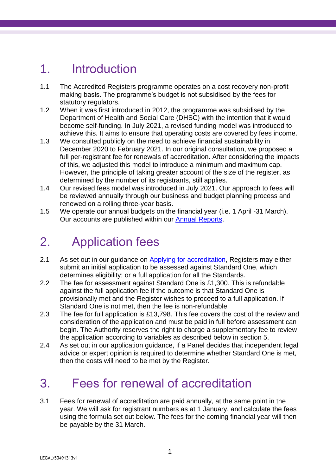## 1. Introduction

- 1.1 The Accredited Registers programme operates on a cost recovery non-profit making basis. The programme's budget is not subsidised by the fees for statutory regulators.
- 1.2 When it was first introduced in 2012, the programme was subsidised by the Department of Health and Social Care (DHSC) with the intention that it would become self-funding. In July 2021, a revised funding model was introduced to achieve this. It aims to ensure that operating costs are covered by fees income.
- 1.3 We consulted publicly on the need to achieve financial sustainability in December 2020 to February 2021. In our original consultation, we proposed a full per-registrant fee for renewals of accreditation. After considering the impacts of this, we adjusted this model to introduce a minimum and maximum cap. However, the principle of taking greater account of the size of the register, as determined by the number of its registrants, still applies.
- 1.4 Our revised fees model was introduced in July 2021. Our approach to fees will be reviewed annually through our business and budget planning process and renewed on a rolling three-year basis.
- 1.5 We operate our annual budgets on the financial year (i.e. 1 April -31 March). Our accounts are published within our **Annual Reports**.

# 2. Application fees

- 2.1 As set out in our quidance on [Applying for accreditation,](https://www.professionalstandards.org.uk/docs/default-source/accredited-registers/guidance-documents/180711-application-process---v1-0.pdf?sfvrsn=b5c7220_4) Registers may either submit an initial application to be assessed against Standard One, which determines eligibility; or a full application for all the Standards.
- 2.2 The fee for assessment against Standard One is £1,300. This is refundable against the full application fee if the outcome is that Standard One is provisionally met and the Register wishes to proceed to a full application. If Standard One is not met, then the fee is non-refundable.
- 2.3 The fee for full application is £13,798. This fee covers the cost of the review and consideration of the application and must be paid in full before assessment can begin. The Authority reserves the right to charge a supplementary fee to review the application according to variables as described below in section 5.
- 2.4 As set out in our application guidance, if a Panel decides that independent legal advice or expert opinion is required to determine whether Standard One is met, then the costs will need to be met by the Register.

# 3. Fees for renewal of accreditation

3.1 Fees for renewal of accreditation are paid annually, at the same point in the year. We will ask for registrant numbers as at 1 January, and calculate the fees using the formula set out below. The fees for the coming financial year will then be payable by the 31 March.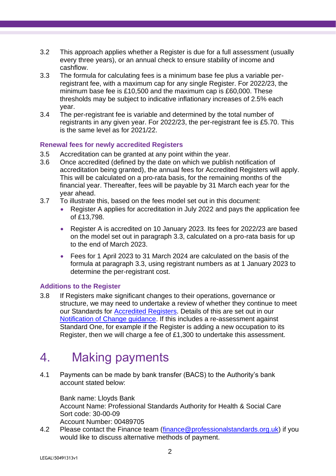- 3.2 This approach applies whether a Register is due for a full assessment (usually every three years), or an annual check to ensure stability of income and cashflow.
- 3.3 The formula for calculating fees is a minimum base fee plus a variable perregistrant fee, with a maximum cap for any single Register. For 2022/23, the minimum base fee is £10,500 and the maximum cap is £60,000. These thresholds may be subject to indicative inflationary increases of 2.5% each year.
- 3.4 The per-registrant fee is variable and determined by the total number of registrants in any given year. For 2022/23, the per-registrant fee is £5.70. This is the same level as for 2021/22.

#### **Renewal fees for newly accredited Registers**

- 3.5 Accreditation can be granted at any point within the year.
- 3.6 Once accredited (defined by the date on which we publish notification of accreditation being granted), the annual fees for Accredited Registers will apply. This will be calculated on a pro-rata basis, for the remaining months of the financial year. Thereafter, fees will be payable by 31 March each year for the year ahead.
- 3.7 To illustrate this, based on the fees model set out in this document:
	- Register A applies for accreditation in July 2022 and pays the application fee of £13,798.
	- Register A is accredited on 10 January 2023. Its fees for 2022/23 are based on the model set out in paragraph 3.3, calculated on a pro-rata basis for up to the end of March 2023.
	- Fees for 1 April 2023 to 31 March 2024 are calculated on the basis of the formula at paragraph 3.3, using registrant numbers as at 1 January 2023 to determine the per-registrant cost.

#### **Additions to the Register**

3.8 If Registers make significant changes to their operations, governance or structure, we may need to undertake a review of whether they continue to meet our Standards for **Accredited Registers**. Details of this are set out in our [Notification of Change guidance.](https://www.professionalstandards.org.uk/docs/default-source/accredited-registers/guidance-documents/180711-notification-of-change-process---v1-0b3411cf761926971a151ff000072e7a6.pdf?sfvrsn=33d37520_4) If this includes a re-assessment against Standard One, for example if the Register is adding a new occupation to its Register, then we will charge a fee of £1,300 to undertake this assessment.

## 4. Making payments

4.1 Payments can be made by bank transfer (BACS) to the Authority's bank account stated below:

Bank name: Lloyds Bank Account Name: Professional Standards Authority for Health & Social Care Sort code: 30-00-09 Account Number: 00489705

4.2 Please contact the Finance team [\(finance@professionalstandards.org.uk\)](mailto:finance@professionalstandards.org.uk) if you would like to discuss alternative methods of payment.